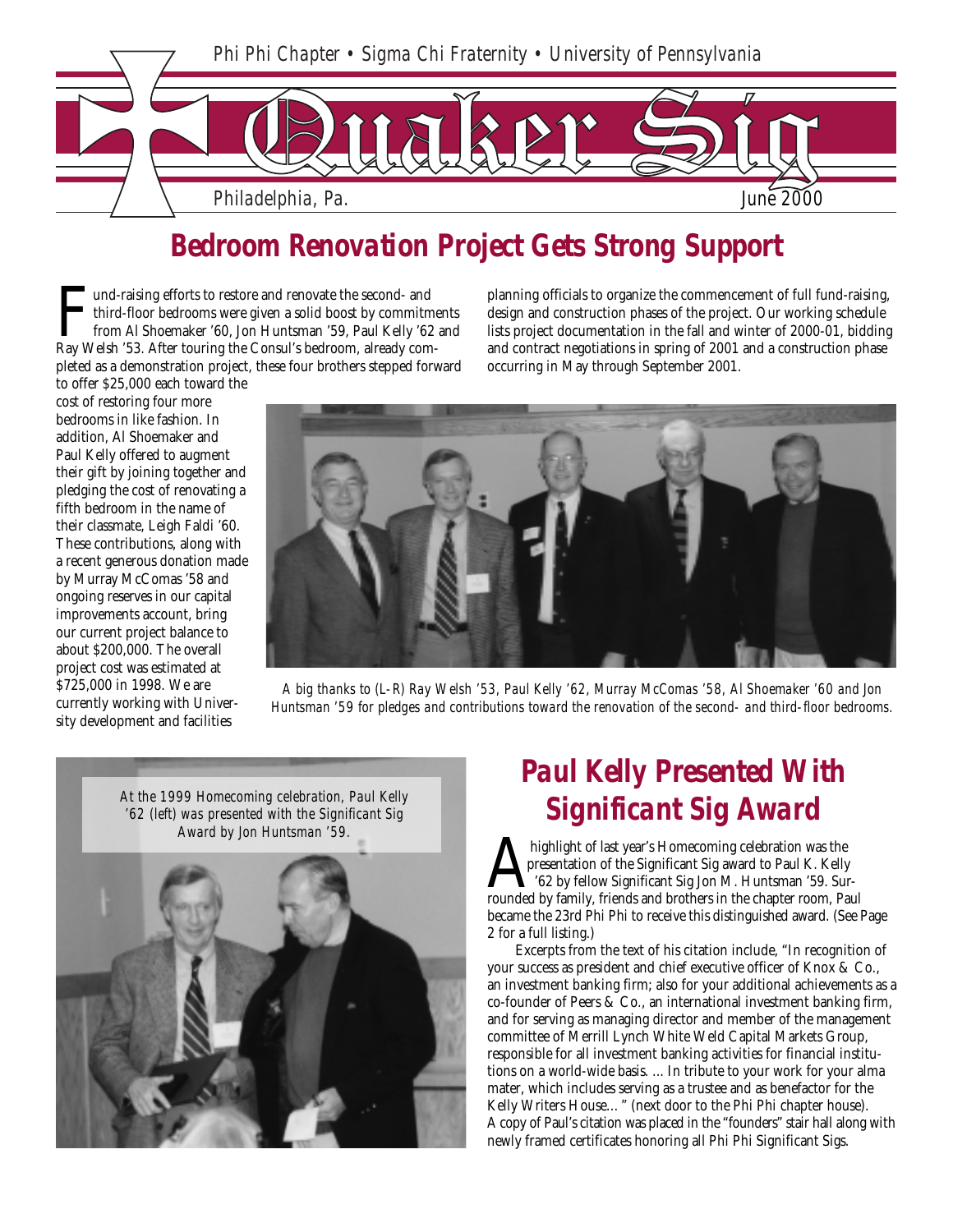

### *Bedroom Renovation Project Gets Strong Support*

I und-raising efforts to restore and renovate the second- and third-floor bedrooms were given a solid boost by commitme from Al Shoemaker '60, Jon Huntsman '59, Paul Kelly '62 Ray Welsh '53. After touring the Consul's bedr third-floor bedrooms were given a solid boost by commitments from Al Shoemaker '60, Jon Huntsman '59, Paul Kelly '62 and pleted as a demonstration project, these four brothers stepped forward to offer \$25,000 each toward the

cost of restoring four more bedrooms in like fashion. In addition, Al Shoemaker and Paul Kelly offered to augment their gift by joining together and pledging the cost of renovating a fifth bedroom in the name of their classmate, Leigh Faldi '60. These contributions, along with

by Murray McComas '58 and ongoing reserves in our capital improvements account, bring our current project balance to about \$200,000. The overall project cost was estimated at \$725,000 in 1998. We are currently working with University development and facilities

planning officials to organize the commencement of full fund-raising, design and construction phases of the project. Our working schedule lists project documentation in the fall and winter of 2000-01, bidding and contract negotiations in spring of 2001 and a construction phase occurring in May through September 2001.



*A big thanks to (L-R) Ray Welsh '53, Paul Kelly '62, Murray McComas '58, Al Shoemaker '60 and Jon Huntsman '59 for pledges and contributions toward the renovation of the second- and third-floor bedrooms.*

*At the 1999 Homecoming celebration, Paul Kelly '62 (left) was presented with the Significant Sig Award by Jon Huntsman '59.*



### *Paul Kelly Presented With Significant Sig Award*

A highlight of last year's Homecoming celebration was the presentation of the Significant Sig award to Paul K. Kelly<br>'62 by fellow Significant Sig Jon M. Huntsman '59. Su<br>rounded by family, friends and brothers in the chap presentation of the Significant Sig award to Paul K. Kelly '62 by fellow Significant Sig Jon M. Huntsman '59. Surrounded by family, friends and brothers in the chapter room, Paul became the 23rd Phi Phi to receive this distinguished award. (See Page 2 for a full listing.)

Excerpts from the text of his citation include, "In recognition of your success as president and chief executive officer of Knox & Co., an investment banking firm; also for your additional achievements as a co-founder of Peers & Co., an international investment banking firm, and for serving as managing director and member of the management committee of Merrill Lynch White Weld Capital Markets Group, responsible for all investment banking activities for financial institutions on a world-wide basis. ... In tribute to your work for your alma mater, which includes serving as a trustee and as benefactor for the Kelly Writers House…" (next door to the Phi Phi chapter house). A copy of Paul's citation was placed in the "founders" stair hall along with newly framed certificates honoring all Phi Phi Significant Sigs.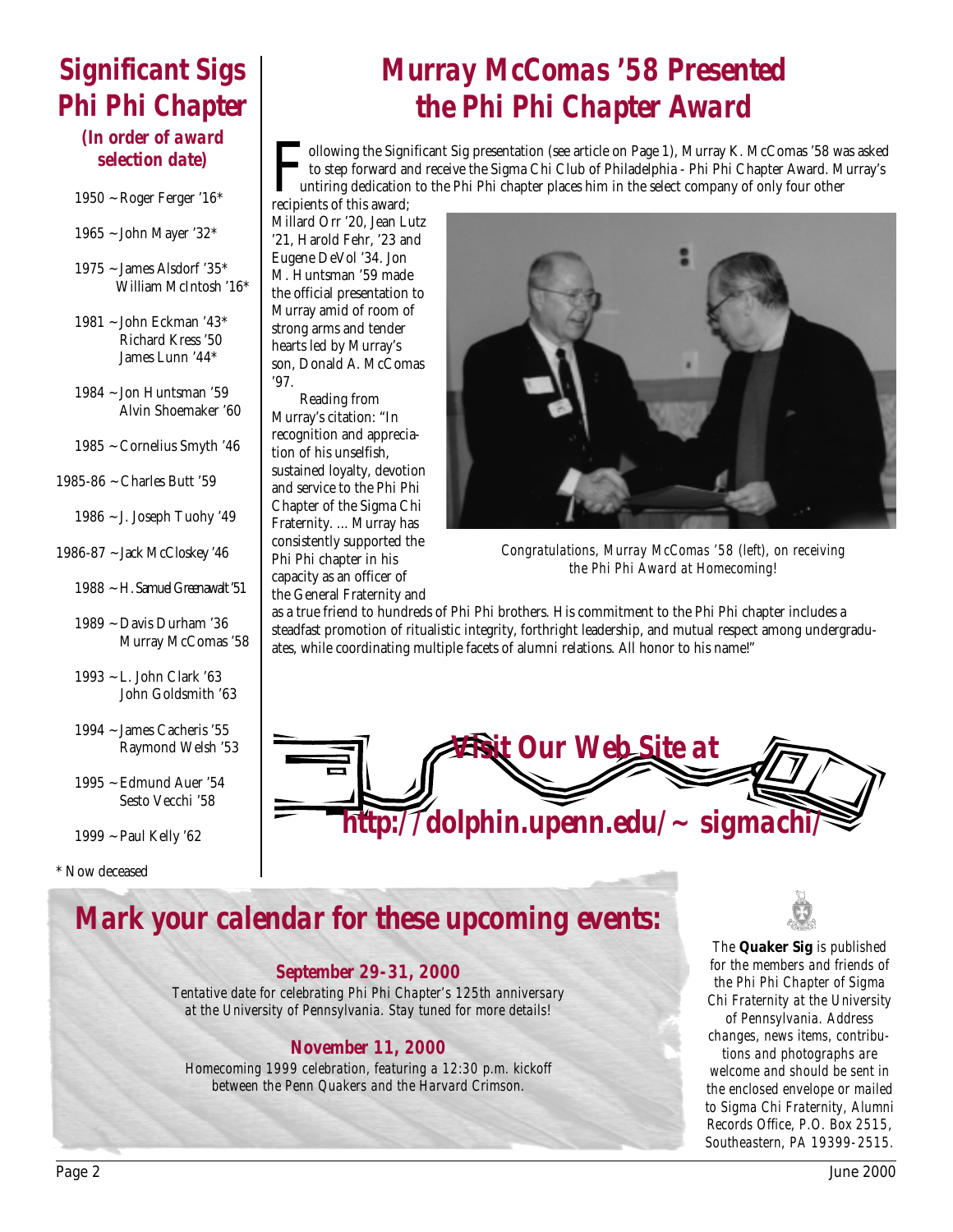# *Significant Sigs Phi Phi Chapter*

### *(In order of award selection date)*

- 1950 ~ Roger Ferger '16\*
- 1965 ~ John Mayer '32\*
- 1975 ~ James Alsdorf '35\* William McIntosh '16\*
- 1981 ~ John Eckman '43\* Richard Kress '50 James Lunn '44\*
- 1984 ~ Jon Huntsman '59 Alvin Shoemaker '60
- 1985 ~ Cornelius Smyth '46
- 1985-86 ~ Charles Butt '59
	- 1986 ~ J. Joseph Tuohy '49
- 1986-87 ~ Jack McCloskey '46
	- 1988 ~ H. Samuel Greenawalt '51
	- 1989 ~ Davis Durham '36 Murray McComas '58
	- 1993 ~ L. John Clark '63 John Goldsmith '63
	- 1994 ~ James Cacheris '55 Raymond Welsh '53
	- 1995 ~ Edmund Auer '54 Sesto Vecchi '58
	- 1999 ~ Paul Kelly '62

\* Now deceased

# *Murray McComas '58 Presented the Phi Phi Chapter Award*

Following the Significant Sig presentation (see article on Page 1), Murray K. McComas '58 was asked to step forward and receive the Sigma Chi Club of Philadelphia - Phi Phi Chapter Award. Murray's untiring dedication to th to step forward and receive the Sigma Chi Club of Philadelphia - Phi Phi Chapter Award. Murray's untiring dedication to the Phi Phi chapter places him in the select company of only four other

recipients of this award; Millard Orr '20, Jean Lutz '21, Harold Fehr, '23 and Eugene DeVol '34. Jon M. Huntsman '59 made the official presentation to Murray amid of room of strong arms and tender hearts led by Murray's son, Donald A. McComas '97.

Reading from Murray's citation: "In recognition and appreciation of his unselfish, sustained loyalty, devotion and service to the Phi Phi Chapter of the Sigma Chi Fraternity. ... Murray has consistently supported the Phi Phi chapter in his capacity as an officer of the General Fraternity and



*Congratulations, Murray McComas '58 (left), on receiving the Phi Phi Award at Homecoming!*

as a true friend to hundreds of Phi Phi brothers. His commitment to the Phi Phi chapter includes a steadfast promotion of ritualistic integrity, forthright leadership, and mutual respect among undergraduates, while coordinating multiple facets of alumni relations. All honor to his name!"



## *Mark your calendar for these upcoming events:*

#### *September 29-31, 2000*

*Tentative date for celebrating Phi Phi Chapter's 125th anniversary at the University of Pennsylvania. Stay tuned for more details!*

### *November 11, 2000*

*Homecoming 1999 celebration, featuring a 12:30 p.m. kickoff between the Penn Quakers and the Harvard Crimson.*



*The* **Quaker Sig** *is published for the members and friends of the Phi Phi Chapter of Sigma Chi Fraternity at the University of Pennsylvania. Address changes, news items, contributions and photographs are welcome and should be sent in the enclosed envelope or mailed to Sigma Chi Fraternity, Alumni Records Office, P.O. Box 2515,*

*Southeastern, PA 19399-2515.*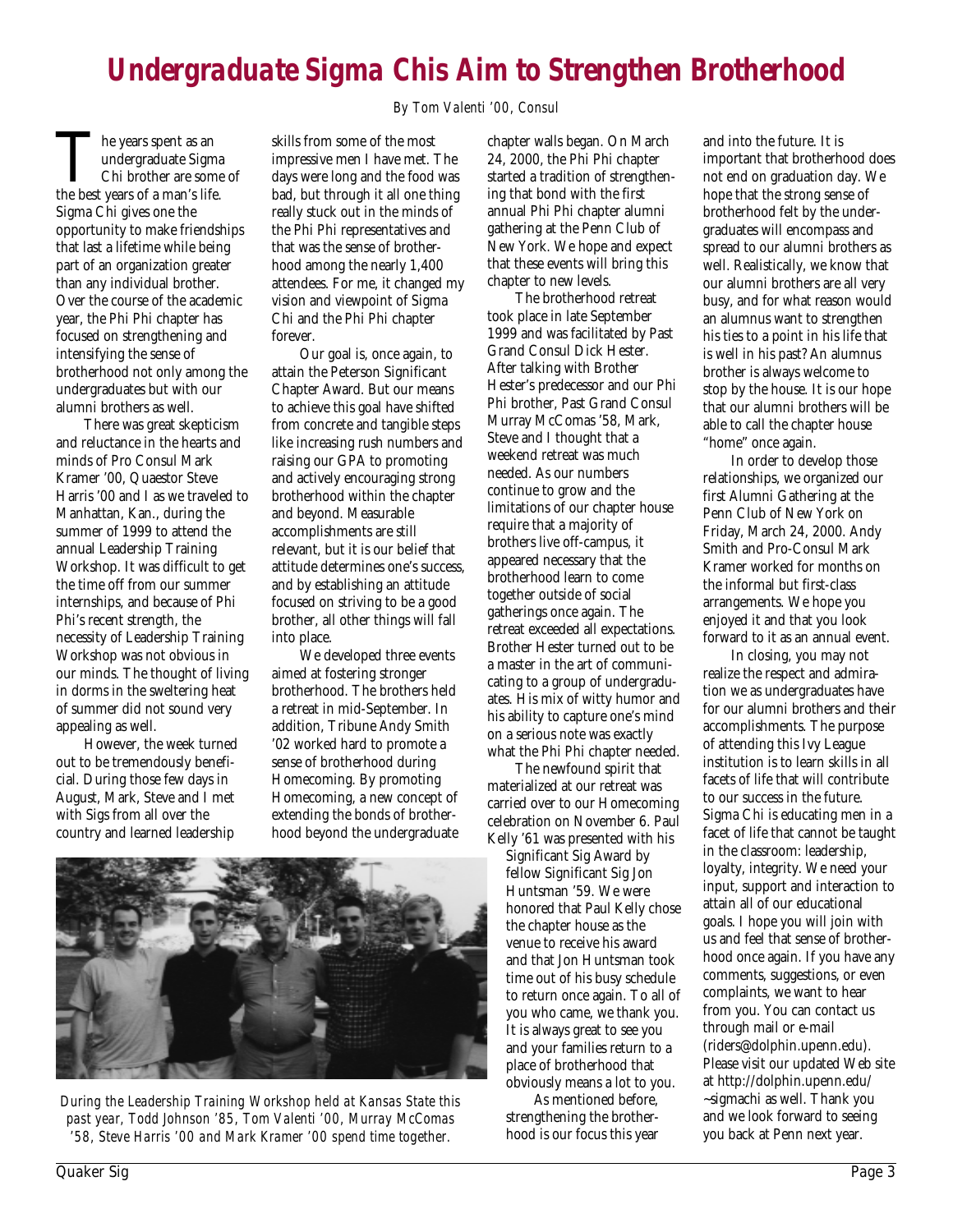## *Undergraduate Sigma Chis Aim to Strengthen Brotherhood*

*By Tom Valenti '00, Consul*

The years spent as an undergraduate Sigma<br>Chi brother are some<br>the best years of a man's life. undergraduate Sigma Chi brother are some of Sigma Chi gives one the opportunity to make friendships that last a lifetime while being part of an organization greater than any individual brother. Over the course of the academic year, the Phi Phi chapter has focused on strengthening and intensifying the sense of brotherhood not only among the undergraduates but with our alumni brothers as well.

There was great skepticism and reluctance in the hearts and minds of Pro Consul Mark Kramer '00, Quaestor Steve Harris '00 and I as we traveled to Manhattan, Kan., during the summer of 1999 to attend the annual Leadership Training Workshop. It was difficult to get the time off from our summer internships, and because of Phi Phi's recent strength, the necessity of Leadership Training Workshop was not obvious in our minds. The thought of living in dorms in the sweltering heat of summer did not sound very appealing as well.

However, the week turned out to be tremendously beneficial. During those few days in August, Mark, Steve and I met with Sigs from all over the country and learned leadership

skills from some of the most impressive men I have met. The days were long and the food was bad, but through it all one thing really stuck out in the minds of the Phi Phi representatives and that was the sense of brotherhood among the nearly 1,400 attendees. For me, it changed my vision and viewpoint of Sigma Chi and the Phi Phi chapter forever.

Our goal is, once again, to attain the Peterson Significant Chapter Award. But our means to achieve this goal have shifted from concrete and tangible steps like increasing rush numbers and raising our GPA to promoting and actively encouraging strong brotherhood within the chapter and beyond. Measurable accomplishments are still relevant, but it is our belief that attitude determines one's success, and by establishing an attitude focused on striving to be a good brother, all other things will fall into place.

We developed three events aimed at fostering stronger brotherhood. The brothers held a retreat in mid-September. In addition, Tribune Andy Smith '02 worked hard to promote a sense of brotherhood during Homecoming. By promoting Homecoming, a new concept of extending the bonds of brotherhood beyond the undergraduate

chapter walls began. On March 24, 2000, the Phi Phi chapter started a tradition of strengthening that bond with the first annual Phi Phi chapter alumni gathering at the Penn Club of New York. We hope and expect that these events will bring this chapter to new levels.

The brotherhood retreat took place in late September 1999 and was facilitated by Past Grand Consul Dick Hester. After talking with Brother Hester's predecessor and our Phi Phi brother, Past Grand Consul Murray McComas '58, Mark, Steve and I thought that a weekend retreat was much needed. As our numbers continue to grow and the limitations of our chapter house require that a majority of brothers live off-campus, it appeared necessary that the brotherhood learn to come together outside of social gatherings once again. The retreat exceeded all expectations. Brother Hester turned out to be a master in the art of communicating to a group of undergraduates. His mix of witty humor and his ability to capture one's mind on a serious note was exactly what the Phi Phi chapter needed.

The newfound spirit that materialized at our retreat was carried over to our Homecoming celebration on November 6. Paul Kelly '61 was presented with his

Significant Sig Award by fellow Significant Sig Jon Huntsman '59. We were honored that Paul Kelly chose the chapter house as the venue to receive his award and that Jon Huntsman took time out of his busy schedule to return once again. To all of you who came, we thank you. It is always great to see you and your families return to a place of brotherhood that obviously means a lot to you.

As mentioned before, strengthening the brotherhood is our focus this year

and into the future. It is important that brotherhood does not end on graduation day. We hope that the strong sense of brotherhood felt by the undergraduates will encompass and spread to our alumni brothers as well. Realistically, we know that our alumni brothers are all very busy, and for what reason would an alumnus want to strengthen his ties to a point in his life that is well in his past? An alumnus brother is always welcome to stop by the house. It is our hope that our alumni brothers will be able to call the chapter house "home" once again.

In order to develop those relationships, we organized our first Alumni Gathering at the Penn Club of New York on Friday, March 24, 2000. Andy Smith and Pro-Consul Mark Kramer worked for months on the informal but first-class arrangements. We hope you enjoyed it and that you look forward to it as an annual event.

In closing, you may not realize the respect and admiration we as undergraduates have for our alumni brothers and their accomplishments. The purpose of attending this Ivy League institution is to learn skills in all facets of life that will contribute to our success in the future. Sigma Chi is educating men in a facet of life that cannot be taught in the classroom: leadership, loyalty, integrity. We need your input, support and interaction to attain all of our educational goals. I hope you will join with us and feel that sense of brotherhood once again. If you have any comments, suggestions, or even complaints, we want to hear from you. You can contact us through mail or e-mail (riders@dolphin.upenn.edu). Please visit our updated Web site at http://dolphin.upenn.edu/ ~sigmachi as well. Thank you and we look forward to seeing you back at Penn next year.



*During the Leadership Training Workshop held at Kansas State this past year, Todd Johnson '85, Tom Valenti '00, Murray McComas '58, Steve Harris '00 and Mark Kramer '00 spend time together.*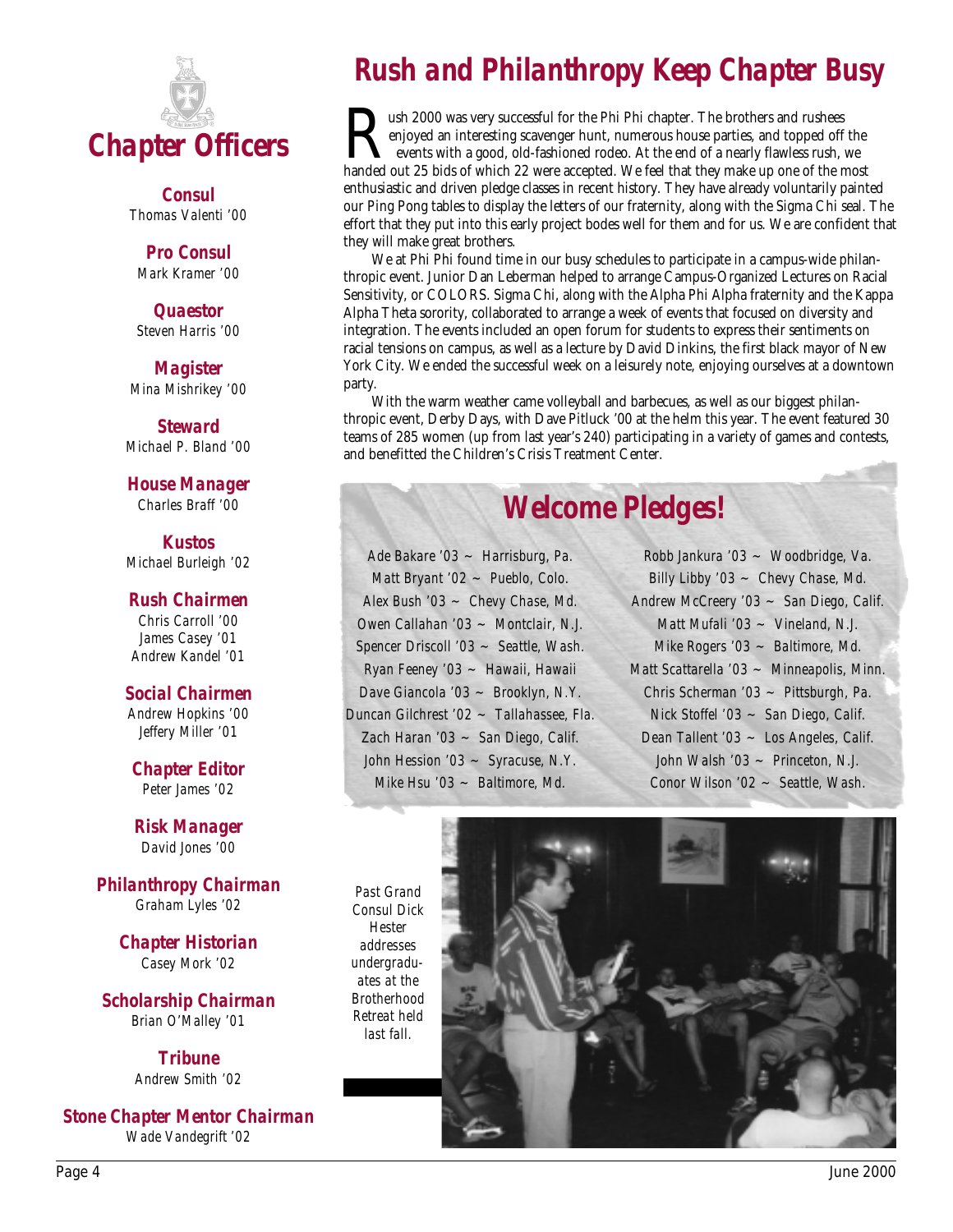

*Consul Thomas Valenti '00*

*Pro Consul Mark Kramer '00*

*Quaestor Steven Harris '00*

*Magister Mina Mishrikey '00*

*Steward Michael P. Bland '00*

*House Manager Charles Braff '00*

*Kustos Michael Burleigh '02*

#### *Rush Chairmen*

*Chris Carroll '00 James Casey '01 Andrew Kandel '01*

#### *Social Chairmen*

*Andrew Hopkins '00 Jeffery Miller '01*

*Chapter Editor Peter James '02*

*Risk Manager David Jones '00*

*Philanthropy Chairman Graham Lyles '02*

> *Chapter Historian Casey Mork '02*

*Scholarship Chairman Brian O'Malley '01*

> *Tribune Andrew Smith '02*

*Stone Chapter Mentor Chairman Wade Vandegrift '02*

## *Rush and Philanthropy Keep Chapter Busy*

**Rush 2000** was very successful for the Phi Phi chapter. The brothers and rushees enjoyed an interesting scavenger hunt, numerous house parties, and topped off events with a good, old-fashioned rodeo. At the end of a nearl enjoyed an interesting scavenger hunt, numerous house parties, and topped off the events with a good, old-fashioned rodeo. At the end of a nearly flawless rush, we handed out 25 bids of which 22 were accepted. We feel that they make up one of the most enthusiastic and driven pledge classes in recent history. They have already voluntarily painted our Ping Pong tables to display the letters of our fraternity, along with the Sigma Chi seal. The effort that they put into this early project bodes well for them and for us. We are confident that they will make great brothers.

We at Phi Phi found time in our busy schedules to participate in a campus-wide philanthropic event. Junior Dan Leberman helped to arrange Campus-Organized Lectures on Racial Sensitivity, or COLORS. Sigma Chi, along with the Alpha Phi Alpha fraternity and the Kappa Alpha Theta sorority, collaborated to arrange a week of events that focused on diversity and integration. The events included an open forum for students to express their sentiments on racial tensions on campus, as well as a lecture by David Dinkins, the first black mayor of New York City. We ended the successful week on a leisurely note, enjoying ourselves at a downtown party.

With the warm weather came volleyball and barbecues, as well as our biggest philanthropic event, Derby Days, with Dave Pitluck '00 at the helm this year. The event featured 30 teams of 285 women (up from last year's 240) participating in a variety of games and contests, and benefitted the Children's Crisis Treatment Center.

## *Welcome Pledges!*

*Ade Bakare '03 ~ Harrisburg, Pa. Matt Bryant '02 ~ Pueblo, Colo. Alex Bush '03 ~ Chevy Chase, Md. Owen Callahan '03 ~ Montclair, N.J. Spencer Driscoll '03 ~ Seattle, Wash. Ryan Feeney '03 ~ Hawaii, Hawaii Dave Giancola '03 ~ Brooklyn, N.Y. Duncan Gilchrest '02 ~ Tallahassee, Fla. Zach Haran '03 ~ San Diego, Calif. John Hession '03 ~ Syracuse, N.Y. Mike Hsu '03 ~ Baltimore, Md.*

*Robb Jankura '03 ~ Woodbridge, Va. Billy Libby '03 ~ Chevy Chase, Md. Andrew McCreery '03 ~ San Diego, Calif. Matt Mufali '03 ~ Vineland, N.J. Mike Rogers '03 ~ Baltimore, Md. Matt Scattarella '03 ~ Minneapolis, Minn. Chris Scherman '03 ~ Pittsburgh, Pa. Nick Stoffel '03 ~ San Diego, Calif. Dean Tallent '03 ~ Los Angeles, Calif. John Walsh '03 ~ Princeton, N.J. Conor Wilson '02 ~ Seattle, Wash.*

*Past Grand Consul Dick Hester addresses undergraduates at the Brotherhood Retreat held last fall.*

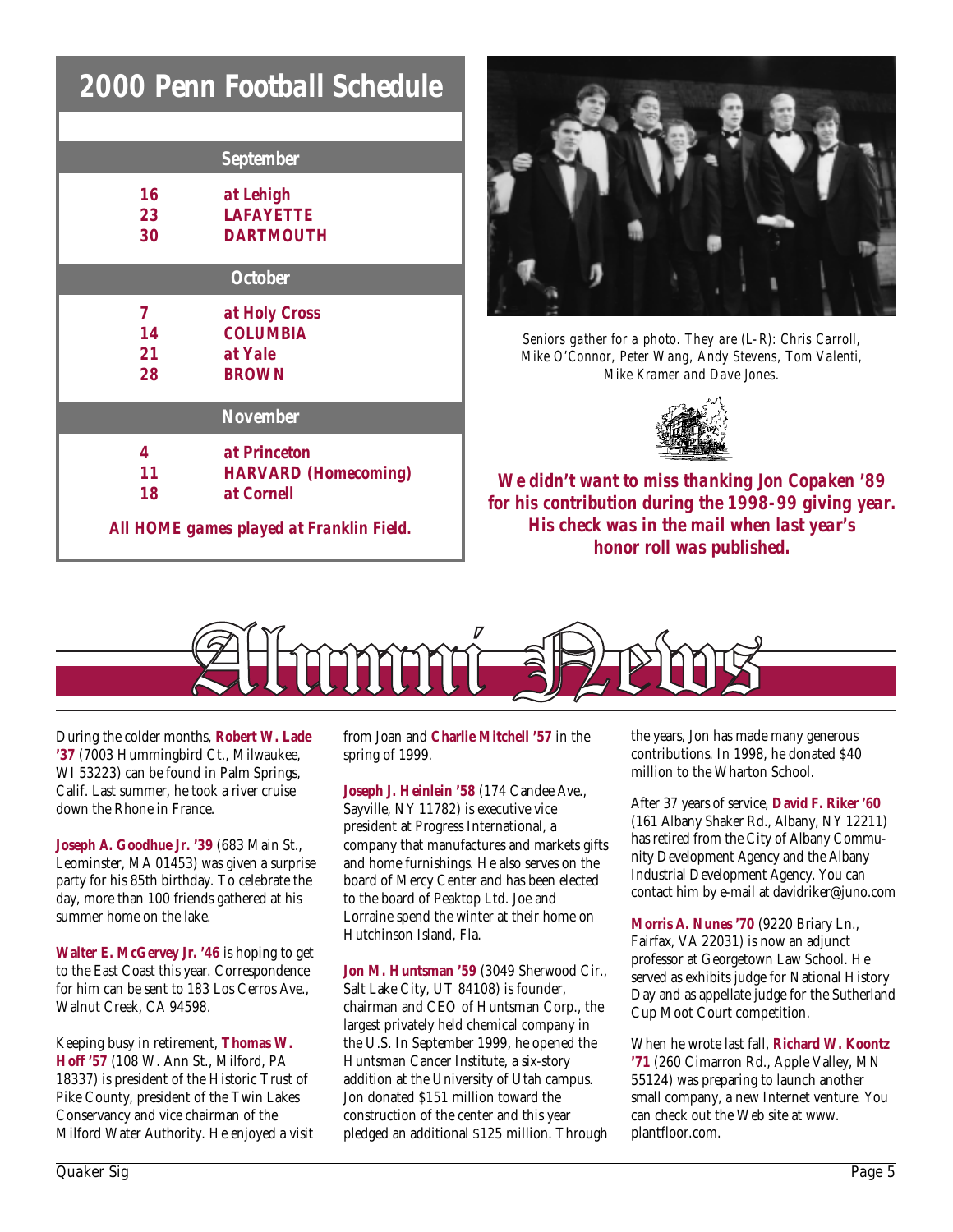|                                          | <b>2000 Penn Football Schedule</b> |
|------------------------------------------|------------------------------------|
|                                          |                                    |
|                                          | <b>September</b>                   |
| 16                                       | at Lehigh                          |
| 23                                       | <b>LAFAYETTE</b>                   |
| 30                                       | <b>DARTMOUTH</b>                   |
| <b>October</b>                           |                                    |
| 7                                        | at Holy Cross                      |
| 14                                       | <b>COLUMBIA</b>                    |
| 21                                       | at Yale                            |
| 28                                       | <b>BROWN</b>                       |
|                                          | <b>November</b>                    |
| 4                                        | at Princeton                       |
| 11                                       | <b>HARVARD</b> (Homecoming)        |
| 18                                       | at Cornell                         |
| All HOME games played at Franklin Field. |                                    |



*Seniors gather for a photo. They are (L-R): Chris Carroll, Mike O'Connor, Peter Wang, Andy Stevens, Tom Valenti, Mike Kramer and Dave Jones.*



*We didn't want to miss thanking Jon Copaken '89 for his contribution during the 1998-99 giving year. His check was in the mail when last year's honor roll was published.*



During the colder months, **Robert W. Lade '37** (7003 Hummingbird Ct., Milwaukee, WI 53223) can be found in Palm Springs, Calif. Last summer, he took a river cruise down the Rhone in France.

**Joseph A. Goodhue Jr. '39** (683 Main St., Leominster, MA 01453) was given a surprise party for his 85th birthday. To celebrate the day, more than 100 friends gathered at his summer home on the lake.

**Walter E. McGervey Jr. '46** is hoping to get to the East Coast this year. Correspondence for him can be sent to 183 Los Cerros Ave., Walnut Creek, CA 94598.

Keeping busy in retirement, **Thomas W. Hoff '57** (108 W. Ann St., Milford, PA 18337) is president of the Historic Trust of Pike County, president of the Twin Lakes Conservancy and vice chairman of the Milford Water Authority. He enjoyed a visit from Joan and **Charlie Mitchell '57** in the spring of 1999.

**Joseph J. Heinlein '58** (174 Candee Ave., Sayville, NY 11782) is executive vice president at Progress International, a company that manufactures and markets gifts and home furnishings. He also serves on the board of Mercy Center and has been elected to the board of Peaktop Ltd. Joe and Lorraine spend the winter at their home on Hutchinson Island, Fla.

**Jon M. Huntsman '59** (3049 Sherwood Cir., Salt Lake City, UT 84108) is founder, chairman and CEO of Huntsman Corp., the largest privately held chemical company in the U.S. In September 1999, he opened the Huntsman Cancer Institute, a six-story addition at the University of Utah campus. Jon donated \$151 million toward the construction of the center and this year pledged an additional \$125 million. Through the years, Jon has made many generous contributions. In 1998, he donated \$40 million to the Wharton School.

After 37 years of service, **David F. Riker '60** (161 Albany Shaker Rd., Albany, NY 12211) has retired from the City of Albany Community Development Agency and the Albany Industrial Development Agency. You can contact him by e-mail at davidriker@juno.com

**Morris A. Nunes '70** (9220 Briary Ln., Fairfax, VA 22031) is now an adjunct professor at Georgetown Law School. He served as exhibits judge for National History Day and as appellate judge for the Sutherland Cup Moot Court competition.

When he wrote last fall, **Richard W. Koontz '71** (260 Cimarron Rd., Apple Valley, MN 55124) was preparing to launch another small company, a new Internet venture. You can check out the Web site at www. plantfloor.com.